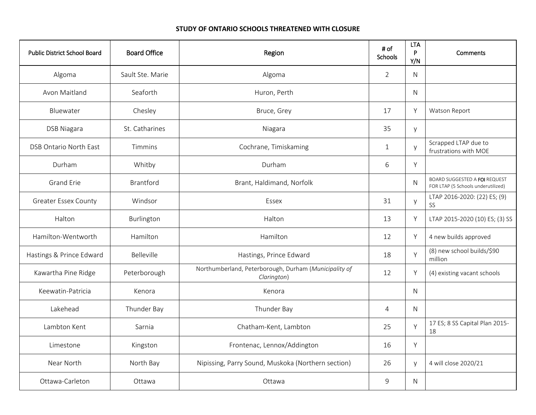### **STUDY OF ONTARIO SCHOOLS THREATENED WITH CLOSURE**

| <b>Public District School Board</b> | <b>Board Office</b> | Region                                                               | # of<br>Schools | <b>LTA</b><br>P<br>Y/N | Comments                                                                   |
|-------------------------------------|---------------------|----------------------------------------------------------------------|-----------------|------------------------|----------------------------------------------------------------------------|
| Algoma                              | Sault Ste. Marie    | Algoma                                                               | $\overline{2}$  | N                      |                                                                            |
| Avon Maitland                       | Seaforth            | Huron, Perth                                                         |                 | N                      |                                                                            |
| Bluewater                           | Chesley             | Bruce, Grey                                                          | 17              | Y                      | Watson Report                                                              |
| <b>DSB Niagara</b>                  | St. Catharines      | Niagara                                                              | 35              | y                      |                                                                            |
| DSB Ontario North East              | Timmins             | Cochrane, Timiskaming                                                | $\mathbf 1$     | y                      | Scrapped LTAP due to<br>frustrations with MOE                              |
| Durham                              | Whitby              | Durham                                                               | 6               | Y                      |                                                                            |
| <b>Grand Erie</b>                   | Brantford           | Brant, Haldimand, Norfolk                                            |                 | N                      | <b>BOARD SUGGESTED A FOI REQUEST</b><br>FOR LTAP (5 Schools underutilized) |
| <b>Greater Essex County</b>         | Windsor             | Essex                                                                | 31              | y                      | LTAP 2016-2020: (22) ES; (9)<br>SS                                         |
| Halton                              | Burlington          | Halton                                                               | 13              | Y                      | LTAP 2015-2020 (10) ES; (3) SS                                             |
| Hamilton-Wentworth                  | Hamilton            | Hamilton                                                             | 12              | Y                      | 4 new builds approved                                                      |
| Hastings & Prince Edward            | Belleville          | Hastings, Prince Edward                                              | 18              | Y                      | (8) new school builds/\$90<br>million                                      |
| Kawartha Pine Ridge                 | Peterborough        | Northumberland, Peterborough, Durham (Municipality of<br>Clarington) | 12              | Y                      | (4) existing vacant schools                                                |
| Keewatin-Patricia                   | Kenora              | Kenora                                                               |                 | N                      |                                                                            |
| Lakehead                            | Thunder Bay         | Thunder Bay                                                          | $\overline{4}$  | N                      |                                                                            |
| Lambton Kent                        | Sarnia              | Chatham-Kent, Lambton                                                | 25              | Y                      | 17 ES; 8 SS Capital Plan 2015-<br>18                                       |
| Limestone                           | Kingston            | Frontenac, Lennox/Addington                                          | 16              | Y                      |                                                                            |
| Near North                          | North Bay           | Nipissing, Parry Sound, Muskoka (Northern section)                   | 26              | V                      | 4 will close 2020/21                                                       |
| Ottawa-Carleton                     | Ottawa              | Ottawa                                                               | 9               | N                      |                                                                            |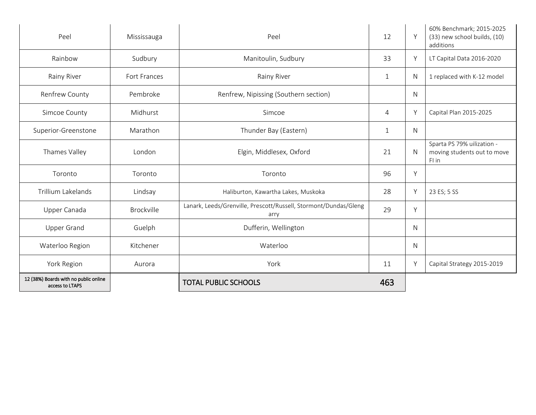| Peel                                                     | Mississauga       | Peel                                                                     | 12           | Y            | 60% Benchmark; 2015-2025<br>(33) new school builds, (10)<br>additions |
|----------------------------------------------------------|-------------------|--------------------------------------------------------------------------|--------------|--------------|-----------------------------------------------------------------------|
| Rainbow                                                  | Sudbury           | Manitoulin, Sudbury                                                      | 33           | Y            | LT Capital Data 2016-2020                                             |
| Rainy River                                              | Fort Frances      | Rainy River                                                              | 1            | N            | 1 replaced with K-12 model                                            |
| Renfrew County                                           | Pembroke          | Renfrew, Nipissing (Southern section)                                    |              | N            |                                                                       |
| Simcoe County                                            | Midhurst          | Simcoe                                                                   | 4            | Y            | Capital Plan 2015-2025                                                |
| Superior-Greenstone                                      | Marathon          | Thunder Bay (Eastern)                                                    | $\mathbf{1}$ | N            |                                                                       |
| Thames Valley                                            | London            | Elgin, Middlesex, Oxford                                                 | 21           | N            | Sparta PS 79% uilization -<br>moving students out to move<br>FI in    |
| Toronto                                                  | Toronto           | Toronto                                                                  | 96           | Y            |                                                                       |
| Trillium Lakelands                                       | Lindsay           | Haliburton, Kawartha Lakes, Muskoka                                      | 28           | Y            | 23 ES; 5 SS                                                           |
| Upper Canada                                             | <b>Brockville</b> | Lanark, Leeds/Grenville, Prescott/Russell, Stormont/Dundas/Gleng<br>arry | 29           | Y            |                                                                       |
| <b>Upper Grand</b>                                       | Guelph            | Dufferin, Wellington                                                     |              | $\mathsf{N}$ |                                                                       |
| Waterloo Region                                          | Kitchener         | Waterloo                                                                 |              | $\mathsf{N}$ |                                                                       |
| York Region                                              | Aurora            | York                                                                     | 11           | Y            | Capital Strategy 2015-2019                                            |
| 12 (38%) Boards with no public online<br>access to LTAPS |                   | <b>TOTAL PUBLIC SCHOOLS</b>                                              | 463          |              |                                                                       |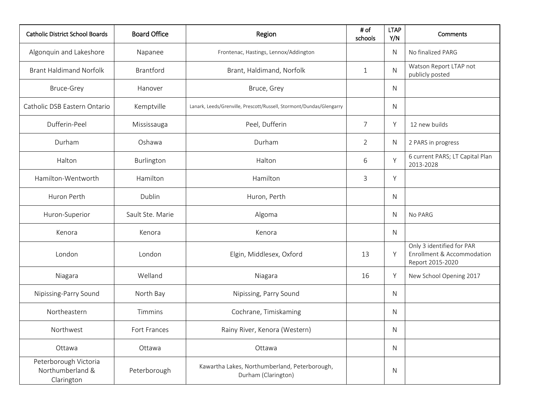| <b>Catholic District School Boards</b>                  | <b>Board Office</b> | Region                                                               | # of<br>schools | <b>LTAP</b><br>Y/N | Comments                                                                    |
|---------------------------------------------------------|---------------------|----------------------------------------------------------------------|-----------------|--------------------|-----------------------------------------------------------------------------|
| Algonquin and Lakeshore                                 | Napanee             | Frontenac, Hastings, Lennox/Addington                                |                 | N                  | No finalized PARG                                                           |
| <b>Brant Haldimand Norfolk</b>                          | <b>Brantford</b>    | Brant, Haldimand, Norfolk                                            | $\mathbf{1}$    | N                  | Watson Report LTAP not<br>publicly posted                                   |
| <b>Bruce-Grey</b>                                       | Hanover             | Bruce, Grey                                                          |                 | $\mathsf{N}$       |                                                                             |
| Catholic DSB Eastern Ontario                            | Kemptville          | Lanark, Leeds/Grenville, Prescott/Russell, Stormont/Dundas/Glengarry |                 | N                  |                                                                             |
| Dufferin-Peel                                           | Mississauga         | Peel, Dufferin                                                       | $\overline{7}$  | Υ                  | 12 new builds                                                               |
| Durham                                                  | Oshawa              | Durham                                                               | $\overline{2}$  | N                  | 2 PARS in progress                                                          |
| Halton                                                  | Burlington          | Halton                                                               | 6               | Υ                  | 6 current PARS; LT Capital Plan<br>2013-2028                                |
| Hamilton-Wentworth                                      | Hamilton            | Hamilton                                                             | 3               | Y                  |                                                                             |
| Huron Perth                                             | Dublin              | Huron, Perth                                                         |                 | N                  |                                                                             |
| Huron-Superior                                          | Sault Ste. Marie    | Algoma                                                               |                 | N                  | No PARG                                                                     |
| Kenora                                                  | Kenora              | Kenora                                                               |                 | N                  |                                                                             |
| London                                                  | London              | Elgin, Middlesex, Oxford                                             | 13              | Y                  | Only 3 identified for PAR<br>Enrollment & Accommodation<br>Report 2015-2020 |
| Niagara                                                 | Welland             | Niagara                                                              | 16              | Υ                  | New School Opening 2017                                                     |
| Nipissing-Parry Sound                                   | North Bay           | Nipissing, Parry Sound                                               |                 | N                  |                                                                             |
| Northeastern                                            | Timmins             | Cochrane, Timiskaming                                                |                 | N                  |                                                                             |
| Northwest                                               | Fort Frances        | Rainy River, Kenora (Western)                                        |                 | N                  |                                                                             |
| Ottawa                                                  | Ottawa              | Ottawa                                                               |                 | $\mathsf{N}$       |                                                                             |
| Peterborough Victoria<br>Northumberland &<br>Clarington | Peterborough        | Kawartha Lakes, Northumberland, Peterborough,<br>Durham (Clarington) |                 | ${\sf N}$          |                                                                             |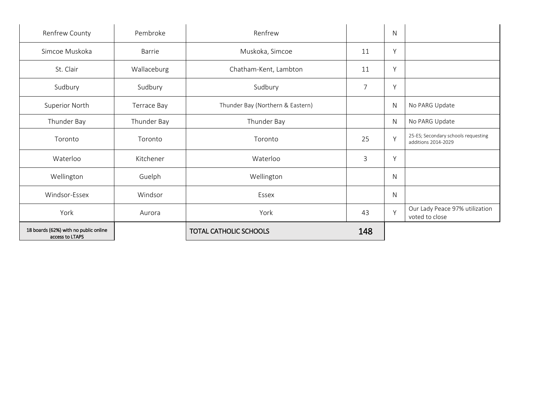| 18 boards (62%) with no public online<br>access to LTAPS |               | <b>TOTAL CATHOLIC SCHOOLS</b>    | 148            |           |                                                            |
|----------------------------------------------------------|---------------|----------------------------------|----------------|-----------|------------------------------------------------------------|
| York                                                     | Aurora        | York                             | 43             | Y         | Our Lady Peace 97% utilization<br>voted to close           |
| Windsor-Essex                                            | Windsor       | Essex                            |                | N         |                                                            |
| Wellington                                               | Guelph        | Wellington                       |                | N         |                                                            |
| Waterloo                                                 | Kitchener     | Waterloo                         | 3              | Y         |                                                            |
| Toronto                                                  | Toronto       | Toronto                          | 25             | Y         | 25-ES; Secondary schools requesting<br>additions 2014-2029 |
| Thunder Bay                                              | Thunder Bay   | Thunder Bay                      |                | N         | No PARG Update                                             |
| Superior North                                           | Terrace Bay   | Thunder Bay (Northern & Eastern) |                | ${\sf N}$ | No PARG Update                                             |
| Sudbury                                                  | Sudbury       | Sudbury                          | $\overline{7}$ | Y         |                                                            |
| St. Clair                                                | Wallaceburg   | Chatham-Kent, Lambton            | 11             | Y         |                                                            |
| Simcoe Muskoka                                           | <b>Barrie</b> | Muskoka, Simcoe                  | 11             | Y         |                                                            |
| Renfrew County                                           | Pembroke      | Renfrew                          |                | N         |                                                            |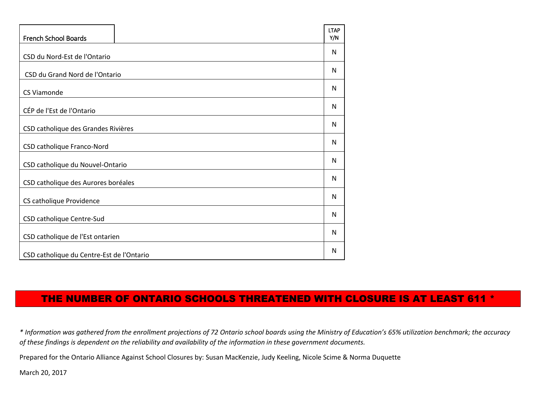| French School Boards                      | <b>LTAP</b><br>Y/N |
|-------------------------------------------|--------------------|
| CSD du Nord-Est de l'Ontario              | N                  |
| CSD du Grand Nord de l'Ontario            | N                  |
| <b>CS Viamonde</b>                        | N                  |
| CÉP de l'Est de l'Ontario                 | N                  |
| CSD catholique des Grandes Rivières       | N                  |
| CSD catholique Franco-Nord                | N                  |
| CSD catholique du Nouvel-Ontario          | N                  |
| CSD catholique des Aurores boréales       | N                  |
| CS catholique Providence                  | N                  |
| CSD catholique Centre-Sud                 | N                  |
| CSD catholique de l'Est ontarien          | N                  |
| CSD catholique du Centre-Est de l'Ontario | N                  |

# THE NUMBER OF ONTARIO SCHOOLS THREATENED WITH CLOSURE IS AT LEAST 611 \*

*\* Information was gathered from the enrollment projections of 72 Ontario school boards using the Ministry of Education's 65% utilization benchmark; the accuracy of these findings is dependent on the reliability and availability of the information in these government documents.*

Prepared for the Ontario Alliance Against School Closures by: Susan MacKenzie, Judy Keeling, Nicole Scime & Norma Duquette

March 20, 2017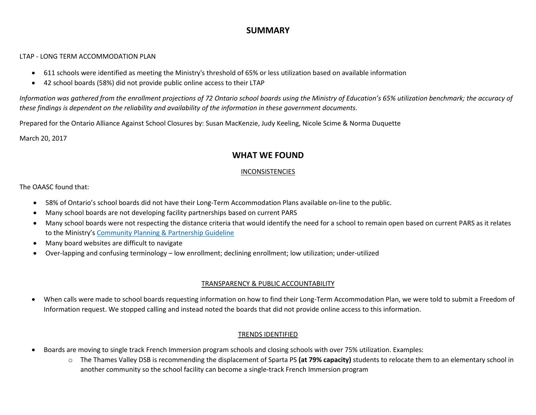## **SUMMARY**

#### LTAP - LONG TERM ACCOMMODATION PLAN

- 611 schools were identified as meeting the Ministry's threshold of 65% or less utilization based on available information
- 42 school boards (58%) did not provide public online access to their LTAP

*Information was gathered from the enrollment projections of 72 Ontario school boards using the Ministry of Education's 65% utilization benchmark; the accuracy of these findings is dependent on the reliability and availability of the information in these government documents.*

Prepared for the Ontario Alliance Against School Closures by: Susan MacKenzie, Judy Keeling, Nicole Scime & Norma Duquette

March 20, 2017

### **WHAT WE FOUND**

### INCONSISTENCIES

#### The OAASC found that:

- 58% of Ontario's school boards did not have their Long-Term Accommodation Plans available on-line to the public.
- Many school boards are not developing facility partnerships based on current PARS
- Many school boards were not respecting the distance criteria that would identify the need for a school to remain open based on current PARS as it relates to the Ministry's [Community Planning & Partnership Guideline](http://edu.gov.on.ca/eng/funding/1516/2015B9appenBEN.pdf)
- Many board websites are difficult to navigate
- Over-lapping and confusing terminology low enrollment; declining enrollment; low utilization; under-utilized

### TRANSPARENCY & PUBLIC ACCOUNTABILITY

 When calls were made to school boards requesting information on how to find their Long-Term Accommodation Plan, we were told to submit a Freedom of Information request. We stopped calling and instead noted the boards that did not provide online access to this information.

### TRENDS IDENTIFIED

- Boards are moving to single track French Immersion program schools and closing schools with over 75% utilization. Examples:
	- o The Thames Valley DSB is recommending the displacement of Sparta PS **(at 79% capacity)** students to relocate them to an elementary school in another community so the school facility can become a single-track French Immersion program